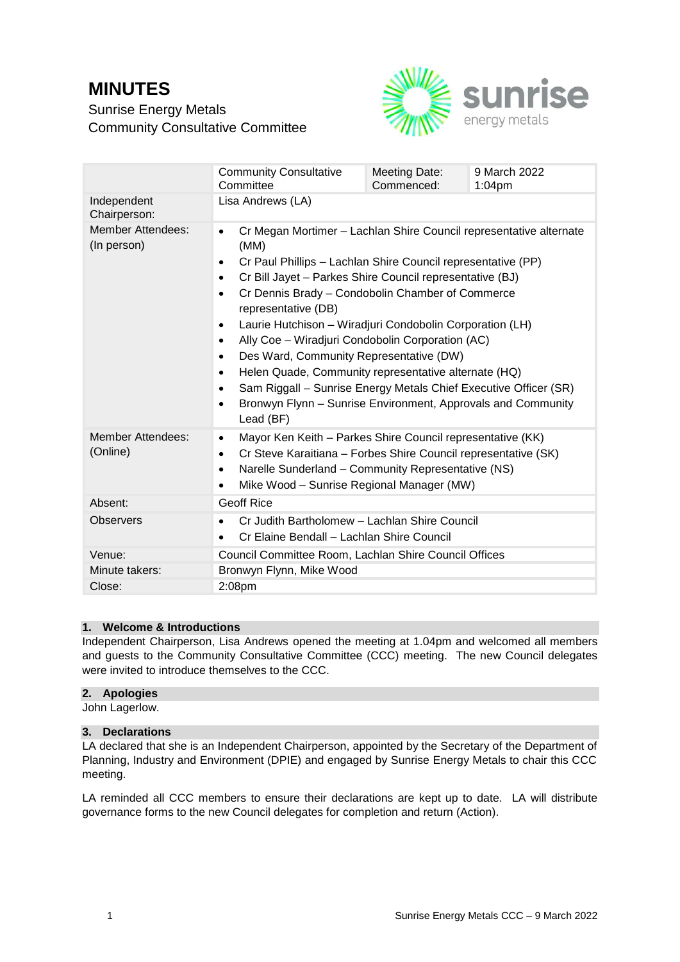# **MINUTES**

Sunrise Energy Metals Community Consultative Committee



|                                         | <b>Community Consultative</b><br>Committee                                                                                                                                                                                                                                                                                                                                                                                                                                                                                                                                                                                                                                                                                                                         | Meeting Date:<br>Commenced: | 9 March 2022<br>$1:04$ pm |  |
|-----------------------------------------|--------------------------------------------------------------------------------------------------------------------------------------------------------------------------------------------------------------------------------------------------------------------------------------------------------------------------------------------------------------------------------------------------------------------------------------------------------------------------------------------------------------------------------------------------------------------------------------------------------------------------------------------------------------------------------------------------------------------------------------------------------------------|-----------------------------|---------------------------|--|
| Independent<br>Chairperson:             | Lisa Andrews (LA)                                                                                                                                                                                                                                                                                                                                                                                                                                                                                                                                                                                                                                                                                                                                                  |                             |                           |  |
| <b>Member Attendees:</b><br>(In person) | Cr Megan Mortimer - Lachlan Shire Council representative alternate<br>٠<br>(MM)<br>Cr Paul Phillips - Lachlan Shire Council representative (PP)<br>$\bullet$<br>Cr Bill Jayet - Parkes Shire Council representative (BJ)<br>$\bullet$<br>Cr Dennis Brady - Condobolin Chamber of Commerce<br>$\bullet$<br>representative (DB)<br>Laurie Hutchison - Wiradjuri Condobolin Corporation (LH)<br>$\bullet$<br>Ally Coe - Wiradjuri Condobolin Corporation (AC)<br>$\bullet$<br>Des Ward, Community Representative (DW)<br>$\bullet$<br>Helen Quade, Community representative alternate (HQ)<br>$\bullet$<br>Sam Riggall – Sunrise Energy Metals Chief Executive Officer (SR)<br>$\bullet$<br>Bronwyn Flynn - Sunrise Environment, Approvals and Community<br>Lead (BF) |                             |                           |  |
| <b>Member Attendees:</b><br>(Online)    | Mayor Ken Keith - Parkes Shire Council representative (KK)<br>٠<br>Cr Steve Karaitiana - Forbes Shire Council representative (SK)<br>$\bullet$<br>Narelle Sunderland - Community Representative (NS)<br>$\bullet$<br>Mike Wood - Sunrise Regional Manager (MW)<br>$\bullet$                                                                                                                                                                                                                                                                                                                                                                                                                                                                                        |                             |                           |  |
| Absent:                                 | <b>Geoff Rice</b>                                                                                                                                                                                                                                                                                                                                                                                                                                                                                                                                                                                                                                                                                                                                                  |                             |                           |  |
| <b>Observers</b>                        | Cr Judith Bartholomew - Lachlan Shire Council<br>$\bullet$<br>Cr Elaine Bendall - Lachlan Shire Council<br>$\bullet$                                                                                                                                                                                                                                                                                                                                                                                                                                                                                                                                                                                                                                               |                             |                           |  |
| Venue:                                  | Council Committee Room, Lachlan Shire Council Offices                                                                                                                                                                                                                                                                                                                                                                                                                                                                                                                                                                                                                                                                                                              |                             |                           |  |
| Minute takers:                          | Bronwyn Flynn, Mike Wood                                                                                                                                                                                                                                                                                                                                                                                                                                                                                                                                                                                                                                                                                                                                           |                             |                           |  |
| Close:                                  | 2:08pm                                                                                                                                                                                                                                                                                                                                                                                                                                                                                                                                                                                                                                                                                                                                                             |                             |                           |  |

# **1. Welcome & Introductions**

Independent Chairperson, Lisa Andrews opened the meeting at 1.04pm and welcomed all members and guests to the Community Consultative Committee (CCC) meeting. The new Council delegates were invited to introduce themselves to the CCC.

## **2. Apologies**

John Lagerlow.

# **3. Declarations**

LA declared that she is an Independent Chairperson, appointed by the Secretary of the Department of Planning, Industry and Environment (DPIE) and engaged by Sunrise Energy Metals to chair this CCC meeting.

LA reminded all CCC members to ensure their declarations are kept up to date. LA will distribute governance forms to the new Council delegates for completion and return (Action).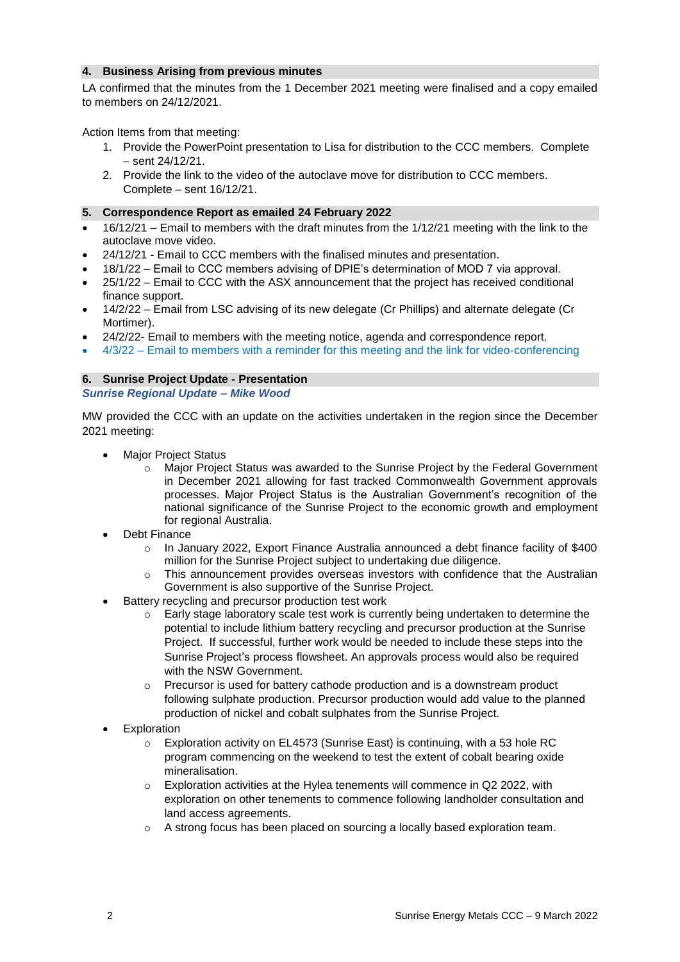#### **4. Business Arising from previous minutes**

LA confirmed that the minutes from the 1 December 2021 meeting were finalised and a copy emailed to members on 24/12/2021.

Action Items from that meeting:

- 1. Provide the PowerPoint presentation to Lisa for distribution to the CCC members. Complete – sent 24/12/21.
- 2. Provide the link to the video of the autoclave move for distribution to CCC members. Complete – sent 16/12/21.

## **5. Correspondence Report as emailed 24 February 2022**

- 16/12/21 Email to members with the draft minutes from the 1/12/21 meeting with the link to the autoclave move video.
- 24/12/21 Email to CCC members with the finalised minutes and presentation.
- 18/1/22 Email to CCC members advising of DPIE's determination of MOD 7 via approval.
- 25/1/22 Email to CCC with the ASX announcement that the project has received conditional finance support.
- 14/2/22 Email from LSC advising of its new delegate (Cr Phillips) and alternate delegate (Cr Mortimer).
- 24/2/22- Email to members with the meeting notice, agenda and correspondence report.
- $\bullet$  4/3/22 Email to members with a reminder for this meeting and the link for video-conferencing

# **6. Sunrise Project Update - Presentation**

# *Sunrise Regional Update – Mike Wood*

MW provided the CCC with an update on the activities undertaken in the region since the December 2021 meeting:

- Major Project Status
	- Major Project Status was awarded to the Sunrise Project by the Federal Government in December 2021 allowing for fast tracked Commonwealth Government approvals processes. Major Project Status is the Australian Government's recognition of the national significance of the Sunrise Project to the economic growth and employment for regional Australia.
- Debt Finance
	- In January 2022, Export Finance Australia announced a debt finance facility of \$400 million for the Sunrise Project subject to undertaking due diligence.
	- $\circ$  This announcement provides overseas investors with confidence that the Australian Government is also supportive of the Sunrise Project.
- Battery recycling and precursor production test work
	- $\circ$  Early stage laboratory scale test work is currently being undertaken to determine the potential to include lithium battery recycling and precursor production at the Sunrise Project. If successful, further work would be needed to include these steps into the Sunrise Project's process flowsheet. An approvals process would also be required with the NSW Government
	- Precursor is used for battery cathode production and is a downstream product following sulphate production. Precursor production would add value to the planned production of nickel and cobalt sulphates from the Sunrise Project.
- Exploration
	- $\circ$  Exploration activity on EL4573 (Sunrise East) is continuing, with a 53 hole RC program commencing on the weekend to test the extent of cobalt bearing oxide mineralisation.
	- $\circ$  Exploration activities at the Hylea tenements will commence in Q2 2022, with exploration on other tenements to commence following landholder consultation and land access agreements.
	- o A strong focus has been placed on sourcing a locally based exploration team.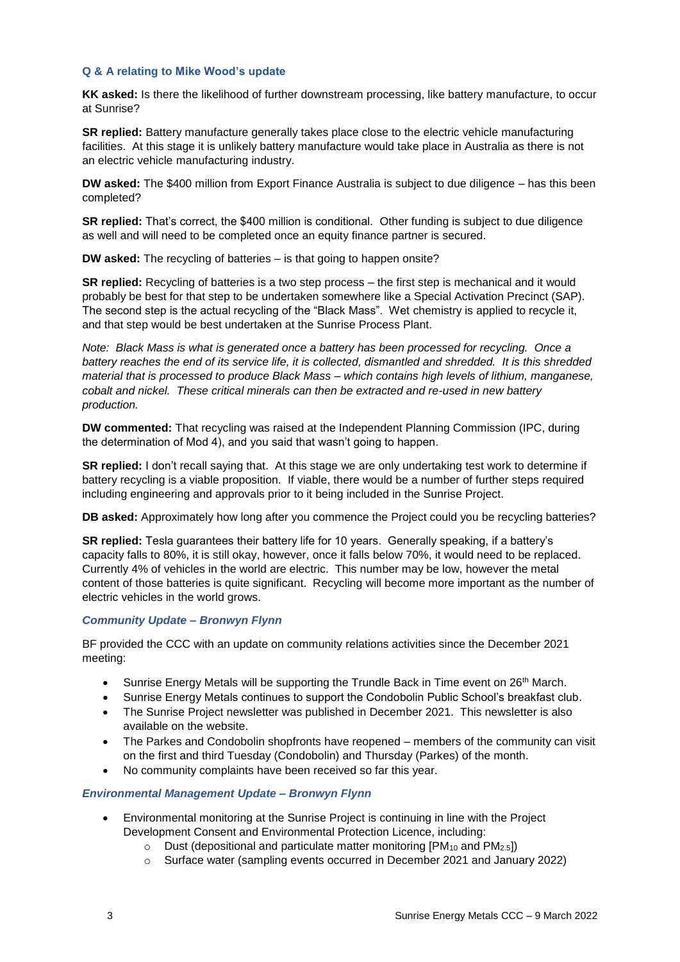#### **Q & A relating to Mike Wood's update**

**KK asked:** Is there the likelihood of further downstream processing, like battery manufacture, to occur at Sunrise?

**SR replied:** Battery manufacture generally takes place close to the electric vehicle manufacturing facilities. At this stage it is unlikely battery manufacture would take place in Australia as there is not an electric vehicle manufacturing industry.

**DW asked:** The \$400 million from Export Finance Australia is subject to due diligence – has this been completed?

**SR replied:** That's correct, the \$400 million is conditional. Other funding is subject to due diligence as well and will need to be completed once an equity finance partner is secured.

**DW asked:** The recycling of batteries – is that going to happen onsite?

**SR replied:** Recycling of batteries is a two step process – the first step is mechanical and it would probably be best for that step to be undertaken somewhere like a Special Activation Precinct (SAP). The second step is the actual recycling of the "Black Mass". Wet chemistry is applied to recycle it, and that step would be best undertaken at the Sunrise Process Plant.

*Note: Black Mass is what is generated once a battery has been processed for recycling. Once a battery reaches the end of its service life, it is collected, dismantled and shredded. It is this shredded material that is processed to produce Black Mass – which contains high levels of lithium, manganese, cobalt and nickel. These critical minerals can then be extracted and re-used in new battery production.*

**DW commented:** That recycling was raised at the Independent Planning Commission (IPC, during the determination of Mod 4), and you said that wasn't going to happen.

**SR replied:** I don't recall saying that. At this stage we are only undertaking test work to determine if battery recycling is a viable proposition. If viable, there would be a number of further steps required including engineering and approvals prior to it being included in the Sunrise Project.

**DB asked:** Approximately how long after you commence the Project could you be recycling batteries?

**SR replied:** Tesla guarantees their battery life for 10 years. Generally speaking, if a battery's capacity falls to 80%, it is still okay, however, once it falls below 70%, it would need to be replaced. Currently 4% of vehicles in the world are electric. This number may be low, however the metal content of those batteries is quite significant. Recycling will become more important as the number of electric vehicles in the world grows.

## *Community Update – Bronwyn Flynn*

BF provided the CCC with an update on community relations activities since the December 2021 meeting:

- $\bullet$  Sunrise Energy Metals will be supporting the Trundle Back in Time event on 26<sup>th</sup> March.
- Sunrise Energy Metals continues to support the Condobolin Public School's breakfast club.
- The Sunrise Project newsletter was published in December 2021. This newsletter is also available on the website.
- The Parkes and Condobolin shopfronts have reopened members of the community can visit on the first and third Tuesday (Condobolin) and Thursday (Parkes) of the month.
- No community complaints have been received so far this year.

## *Environmental Management Update – Bronwyn Flynn*

- Environmental monitoring at the Sunrise Project is continuing in line with the Project Development Consent and Environmental Protection Licence, including:
	- $\circ$  Dust (depositional and particulate matter monitoring [PM<sub>10</sub> and PM<sub>2.5</sub>])
	- o Surface water (sampling events occurred in December 2021 and January 2022)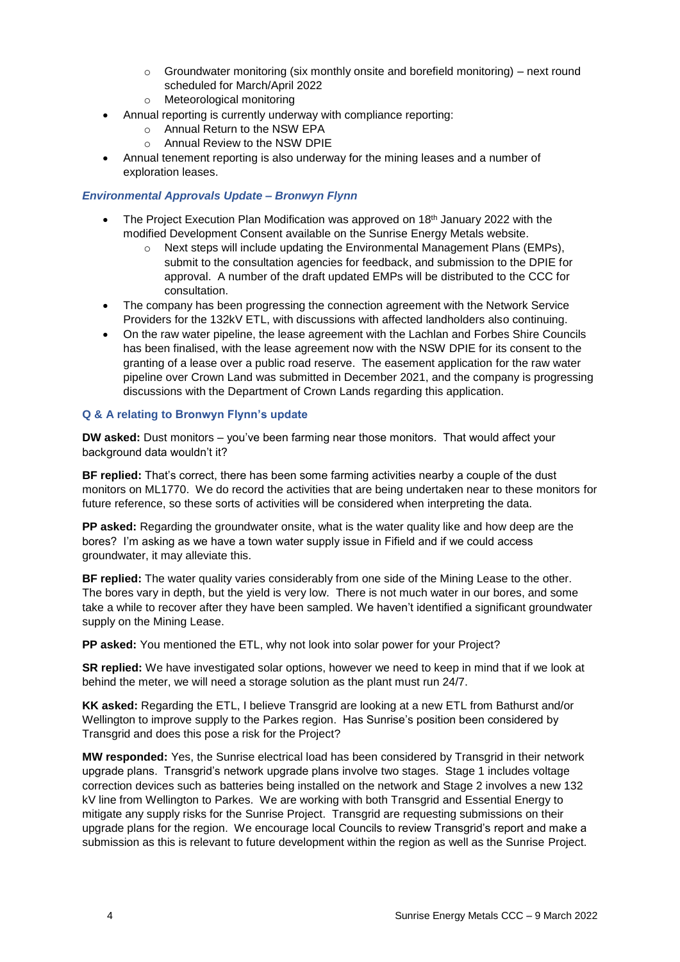- $\circ$  Groundwater monitoring (six monthly onsite and borefield monitoring) next round scheduled for March/April 2022
- o Meteorological monitoring
- Annual reporting is currently underway with compliance reporting:
	- o Annual Return to the NSW EPA
	- o Annual Review to the NSW DPIE
- Annual tenement reporting is also underway for the mining leases and a number of exploration leases.

# *Environmental Approvals Update – Bronwyn Flynn*

- The Project Execution Plan Modification was approved on 18th January 2022 with the modified Development Consent available on the Sunrise Energy Metals website.
	- o Next steps will include updating the Environmental Management Plans (EMPs), submit to the consultation agencies for feedback, and submission to the DPIE for approval. A number of the draft updated EMPs will be distributed to the CCC for consultation.
- The company has been progressing the connection agreement with the Network Service Providers for the 132kV ETL, with discussions with affected landholders also continuing.
- On the raw water pipeline, the lease agreement with the Lachlan and Forbes Shire Councils has been finalised, with the lease agreement now with the NSW DPIE for its consent to the granting of a lease over a public road reserve. The easement application for the raw water pipeline over Crown Land was submitted in December 2021, and the company is progressing discussions with the Department of Crown Lands regarding this application.

## **Q & A relating to Bronwyn Flynn's update**

**DW asked:** Dust monitors – you've been farming near those monitors. That would affect your background data wouldn't it?

**BF replied:** That's correct, there has been some farming activities nearby a couple of the dust monitors on ML1770. We do record the activities that are being undertaken near to these monitors for future reference, so these sorts of activities will be considered when interpreting the data.

**PP asked:** Regarding the groundwater onsite, what is the water quality like and how deep are the bores? I'm asking as we have a town water supply issue in Fifield and if we could access groundwater, it may alleviate this.

**BF replied:** The water quality varies considerably from one side of the Mining Lease to the other. The bores vary in depth, but the yield is very low. There is not much water in our bores, and some take a while to recover after they have been sampled. We haven't identified a significant groundwater supply on the Mining Lease.

**PP asked:** You mentioned the ETL, why not look into solar power for your Project?

**SR replied:** We have investigated solar options, however we need to keep in mind that if we look at behind the meter, we will need a storage solution as the plant must run 24/7.

**KK asked:** Regarding the ETL, I believe Transgrid are looking at a new ETL from Bathurst and/or Wellington to improve supply to the Parkes region. Has Sunrise's position been considered by Transgrid and does this pose a risk for the Project?

**MW responded:** Yes, the Sunrise electrical load has been considered by Transgrid in their network upgrade plans. Transgrid's network upgrade plans involve two stages. Stage 1 includes voltage correction devices such as batteries being installed on the network and Stage 2 involves a new 132 kV line from Wellington to Parkes. We are working with both Transgrid and Essential Energy to mitigate any supply risks for the Sunrise Project. Transgrid are requesting submissions on their upgrade plans for the region. We encourage local Councils to review Transgrid's report and make a submission as this is relevant to future development within the region as well as the Sunrise Project.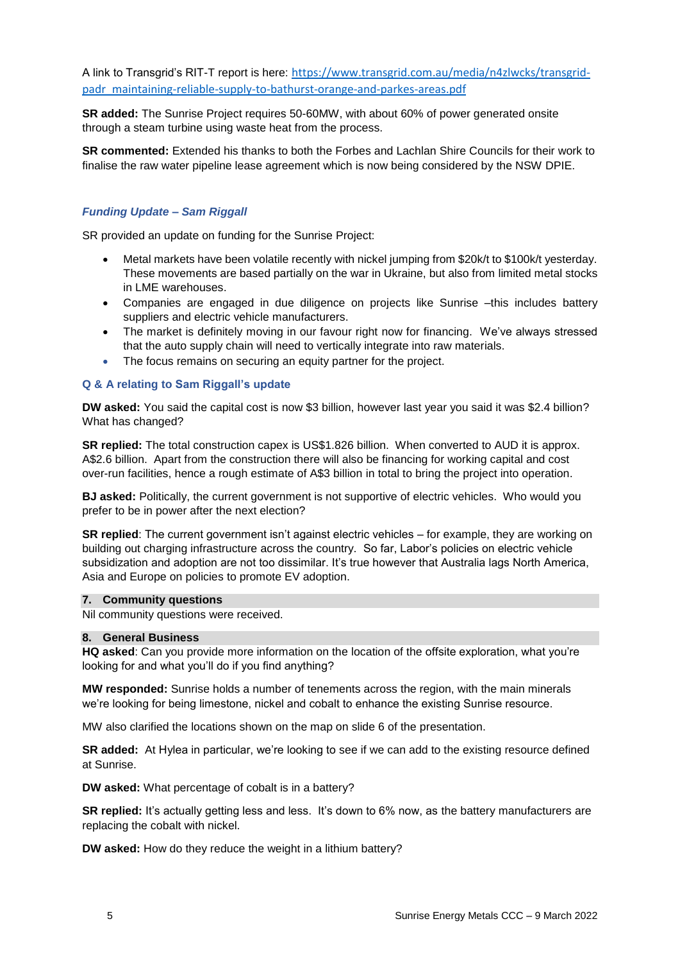A link to Transgrid's RIT-T report is here: [https://www.transgrid.com.au/media/n4zlwcks/transgrid](https://www.transgrid.com.au/media/n4zlwcks/transgrid-padr_maintaining-reliable-supply-to-bathurst-orange-and-parkes-areas.pdf)[padr\\_maintaining-reliable-supply-to-bathurst-orange-and-parkes-areas.pdf](https://www.transgrid.com.au/media/n4zlwcks/transgrid-padr_maintaining-reliable-supply-to-bathurst-orange-and-parkes-areas.pdf)

**SR added:** The Sunrise Project requires 50-60MW, with about 60% of power generated onsite through a steam turbine using waste heat from the process.

**SR commented:** Extended his thanks to both the Forbes and Lachlan Shire Councils for their work to finalise the raw water pipeline lease agreement which is now being considered by the NSW DPIE.

# *Funding Update – Sam Riggall*

SR provided an update on funding for the Sunrise Project:

- Metal markets have been volatile recently with nickel jumping from \$20k/t to \$100k/t yesterday. These movements are based partially on the war in Ukraine, but also from limited metal stocks in LME warehouses.
- Companies are engaged in due diligence on projects like Sunrise –this includes battery suppliers and electric vehicle manufacturers.
- The market is definitely moving in our favour right now for financing. We've always stressed that the auto supply chain will need to vertically integrate into raw materials.
- The focus remains on securing an equity partner for the project.

#### **Q & A relating to Sam Riggall's update**

**DW asked:** You said the capital cost is now \$3 billion, however last year you said it was \$2.4 billion? What has changed?

**SR replied:** The total construction capex is US\$1.826 billion. When converted to AUD it is approx. A\$2.6 billion. Apart from the construction there will also be financing for working capital and cost over-run facilities, hence a rough estimate of A\$3 billion in total to bring the project into operation.

**BJ asked:** Politically, the current government is not supportive of electric vehicles. Who would you prefer to be in power after the next election?

**SR replied**: The current government isn't against electric vehicles – for example, they are working on building out charging infrastructure across the country. So far, Labor's policies on electric vehicle subsidization and adoption are not too dissimilar. It's true however that Australia lags North America, Asia and Europe on policies to promote EV adoption.

#### **7. Community questions**

Nil community questions were received.

#### **8. General Business**

**HQ asked**: Can you provide more information on the location of the offsite exploration, what you're looking for and what you'll do if you find anything?

**MW responded:** Sunrise holds a number of tenements across the region, with the main minerals we're looking for being limestone, nickel and cobalt to enhance the existing Sunrise resource.

MW also clarified the locations shown on the map on slide 6 of the presentation.

**SR added:** At Hylea in particular, we're looking to see if we can add to the existing resource defined at Sunrise.

**DW asked:** What percentage of cobalt is in a battery?

**SR replied:** It's actually getting less and less. It's down to 6% now, as the battery manufacturers are replacing the cobalt with nickel.

**DW asked:** How do they reduce the weight in a lithium battery?